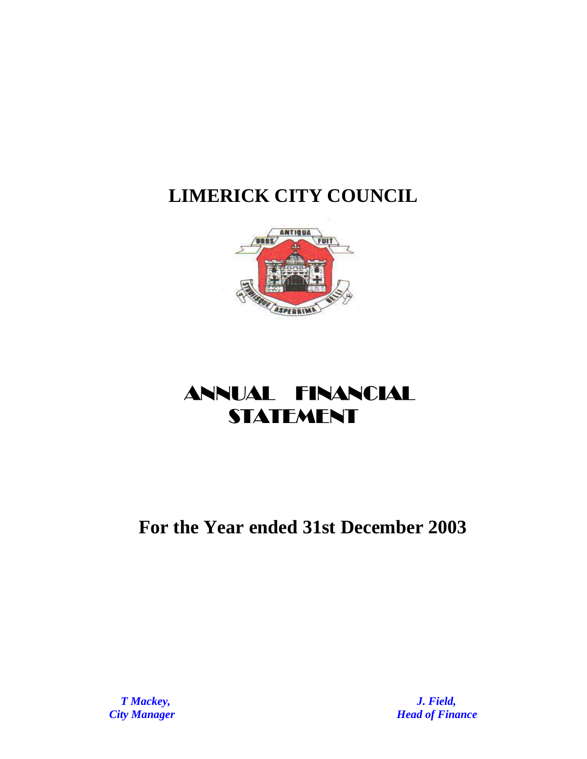

# ANNUAL FINANCIAL **STATEMENT**

# **For the Year ended 31st December 2003**

*T Mackey, J. Field, City Manager City Manager Parameter <b><i>Head of Finance*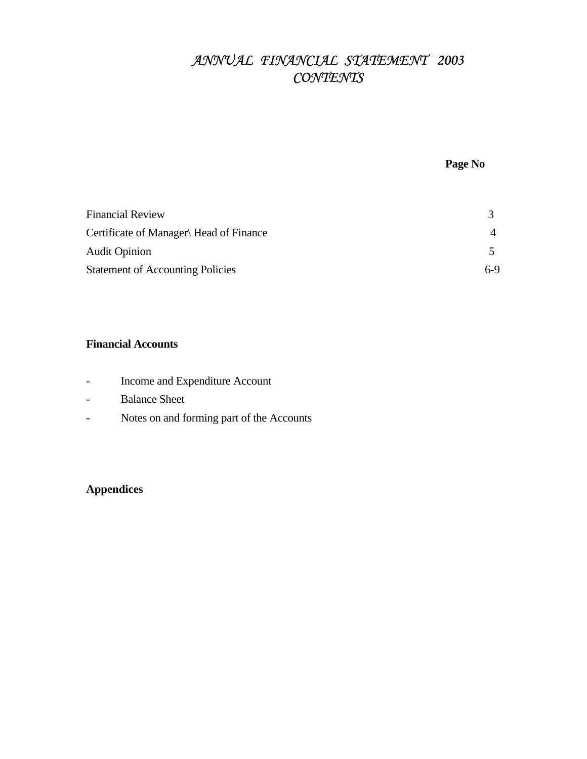# *ANNUAL FINANCIAL STATEMENT 2003 CONTENTS*

## **Page No**

| <b>Financial Review</b>                 |       |
|-----------------------------------------|-------|
| Certificate of Manager Head of Finance  |       |
| <b>Audit Opinion</b>                    |       |
| <b>Statement of Accounting Policies</b> | $6-9$ |

## **Financial Accounts**

- Income and Expenditure Account
- Balance Sheet
- Notes on and forming part of the Accounts

## **Appendices**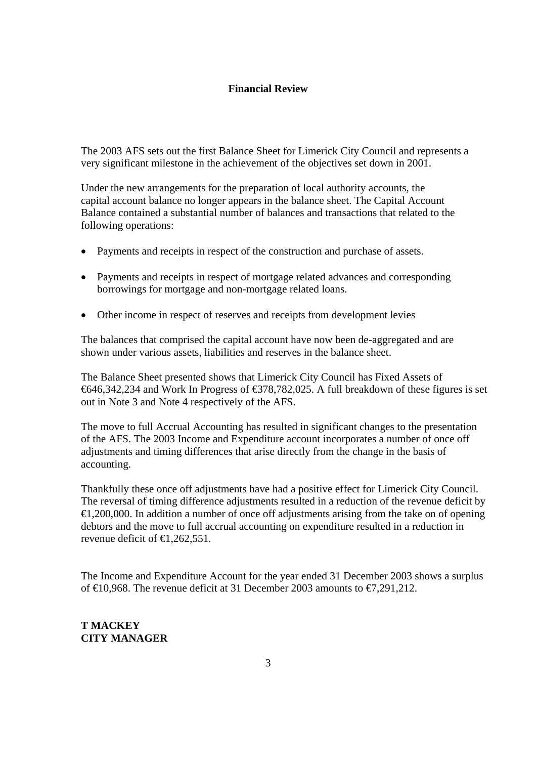## **Financial Review**

The 2003 AFS sets out the first Balance Sheet for Limerick City Council and represents a very significant milestone in the achievement of the objectives set down in 2001.

Under the new arrangements for the preparation of local authority accounts, the capital account balance no longer appears in the balance sheet. The Capital Account Balance contained a substantial number of balances and transactions that related to the following operations:

- Payments and receipts in respect of the construction and purchase of assets.
- Payments and receipts in respect of mortgage related advances and corresponding borrowings for mortgage and non-mortgage related loans.
- Other income in respect of reserves and receipts from development levies

The balances that comprised the capital account have now been de-aggregated and are shown under various assets, liabilities and reserves in the balance sheet.

The Balance Sheet presented shows that Limerick City Council has Fixed Assets of €646,342,234 and Work In Progress of €378,782,025. A full breakdown of these figures is set out in Note 3 and Note 4 respectively of the AFS.

The move to full Accrual Accounting has resulted in significant changes to the presentation of the AFS. The 2003 Income and Expenditure account incorporates a number of once off adjustments and timing differences that arise directly from the change in the basis of accounting.

Thankfully these once off adjustments have had a positive effect for Limerick City Council. The reversal of timing difference adjustments resulted in a reduction of the revenue deficit by  $\epsilon$ 1,200,000. In addition a number of once off adjustments arising from the take on of opening debtors and the move to full accrual accounting on expenditure resulted in a reduction in revenue deficit of  $\in$  1.262,551.

The Income and Expenditure Account for the year ended 31 December 2003 shows a surplus of  $\in$  0.968. The revenue deficit at 31 December 2003 amounts to  $\in$  291,212.

## **T MACKEY CITY MANAGER**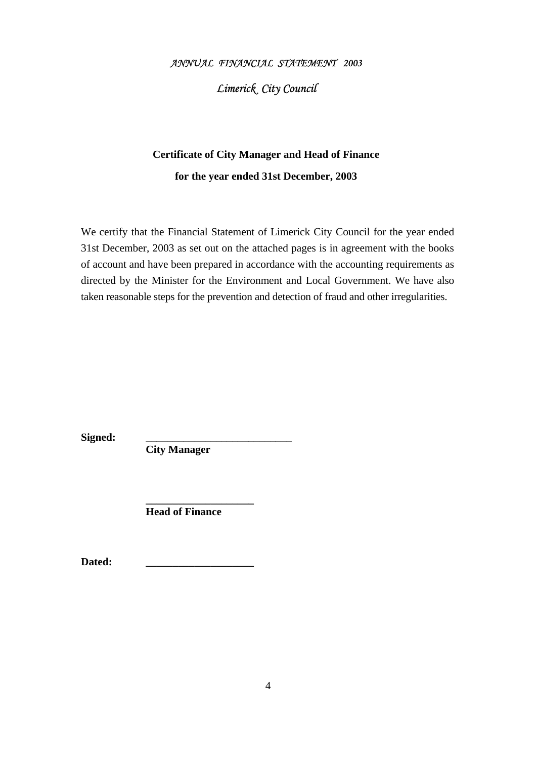### *ANNUAL FINANCIAL STATEMENT 2003*

## *Limerick City Council*

# **Certificate of City Manager and Head of Finance for the year ended 31st December, 2003**

We certify that the Financial Statement of Limerick City Council for the year ended 31st December, 2003 as set out on the attached pages is in agreement with the books of account and have been prepared in accordance with the accounting requirements as directed by the Minister for the Environment and Local Government. We have also taken reasonable steps for the prevention and detection of fraud and other irregularities.

Signed:

**City Manager** 

**Head of Finance** 

Dated:

 **\_\_\_\_\_\_\_\_\_\_\_\_\_\_\_\_\_\_\_\_**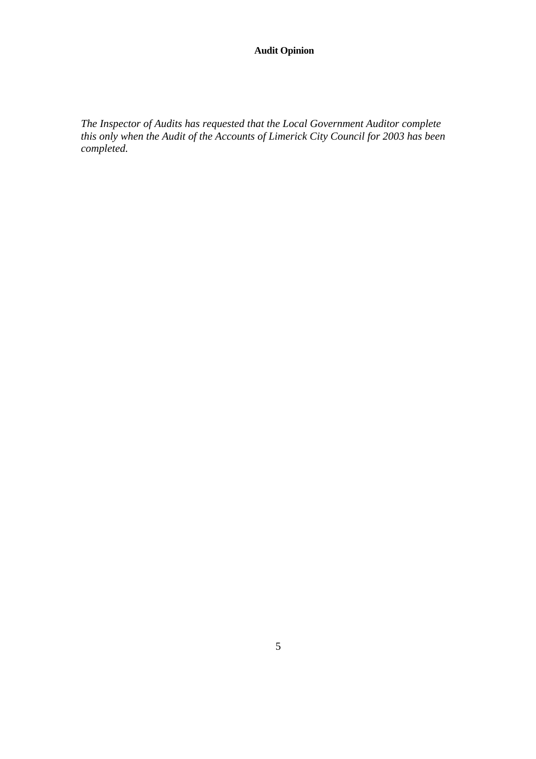## **Audit Opinion**

*The Inspector of Audits has requested that the Local Government Auditor complete this only when the Audit of the Accounts of Limerick City Council for 2003 has been completed.*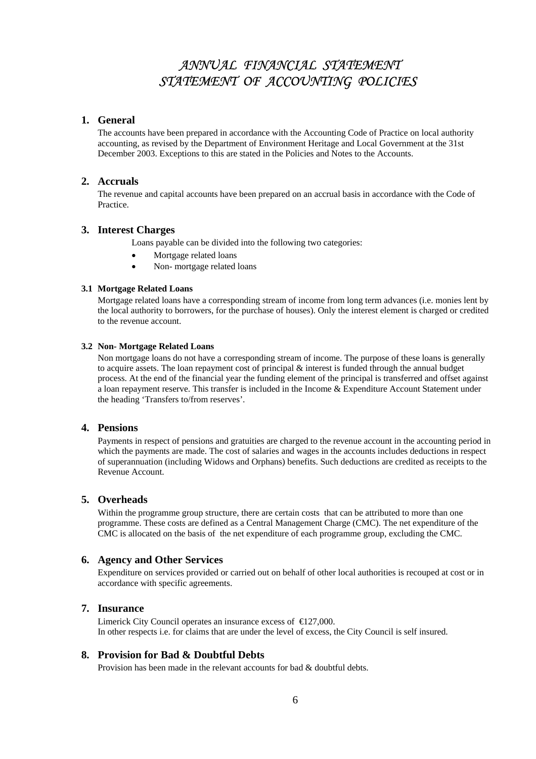## *ANNUAL FINANCIAL STATEMENT STATEMENT OF ACCOUNTING POLICIES*

#### **1. General**

The accounts have been prepared in accordance with the Accounting Code of Practice on local authority accounting, as revised by the Department of Environment Heritage and Local Government at the 31st December 2003. Exceptions to this are stated in the Policies and Notes to the Accounts.

#### **2. Accruals**

The revenue and capital accounts have been prepared on an accrual basis in accordance with the Code of Practice.

#### **3. Interest Charges**

Loans payable can be divided into the following two categories:

- Mortgage related loans
- Non- mortgage related loans

#### **3.1 Mortgage Related Loans**

Mortgage related loans have a corresponding stream of income from long term advances (i.e. monies lent by the local authority to borrowers, for the purchase of houses). Only the interest element is charged or credited to the revenue account.

#### **3.2 Non- Mortgage Related Loans**

Non mortgage loans do not have a corresponding stream of income. The purpose of these loans is generally to acquire assets. The loan repayment cost of principal & interest is funded through the annual budget process. At the end of the financial year the funding element of the principal is transferred and offset against a loan repayment reserve. This transfer is included in the Income & Expenditure Account Statement under the heading 'Transfers to/from reserves'.

#### **4. Pensions**

Payments in respect of pensions and gratuities are charged to the revenue account in the accounting period in which the payments are made. The cost of salaries and wages in the accounts includes deductions in respect of superannuation (including Widows and Orphans) benefits. Such deductions are credited as receipts to the Revenue Account.

#### **5. Overheads**

Within the programme group structure, there are certain costs that can be attributed to more than one programme. These costs are defined as a Central Management Charge (CMC). The net expenditure of the CMC is allocated on the basis of the net expenditure of each programme group, excluding the CMC.

#### **6. Agency and Other Services**

Expenditure on services provided or carried out on behalf of other local authorities is recouped at cost or in accordance with specific agreements.

### **7. Insurance**

Limerick City Council operates an insurance excess of  $\epsilon$  (27,000. In other respects i.e. for claims that are under the level of excess, the City Council is self insured.

#### **8. Provision for Bad & Doubtful Debts**

Provision has been made in the relevant accounts for bad & doubtful debts.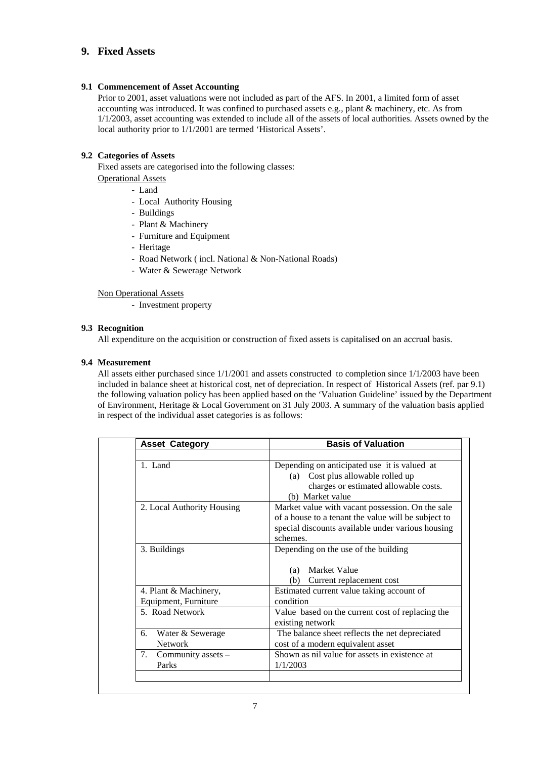### **9. Fixed Assets**

#### **9.1 Commencement of Asset Accounting**

Prior to 2001, asset valuations were not included as part of the AFS. In 2001, a limited form of asset accounting was introduced. It was confined to purchased assets e.g., plant & machinery, etc. As from 1/1/2003, asset accounting was extended to include all of the assets of local authorities. Assets owned by the local authority prior to 1/1/2001 are termed 'Historical Assets'.

### **9.2 Categories of Assets**

Fixed assets are categorised into the following classes: Operational Assets

- Land
- Local Authority Housing
- Buildings
- Plant & Machinery
- Furniture and Equipment
- Heritage
- Road Network ( incl. National & Non-National Roads)
- Water & Sewerage Network

Non Operational Assets

- Investment property

#### **9.3 Recognition**

All expenditure on the acquisition or construction of fixed assets is capitalised on an accrual basis.

#### **9.4 Measurement**

All assets either purchased since 1/1/2001 and assets constructed to completion since 1/1/2003 have been included in balance sheet at historical cost, net of depreciation. In respect of Historical Assets (ref. par 9.1) the following valuation policy has been applied based on the 'Valuation Guideline' issued by the Department of Environment, Heritage & Local Government on 31 July 2003. A summary of the valuation basis applied in respect of the individual asset categories is as follows:

| <b>Asset Category</b>                         | <b>Basis of Valuation</b>                                                                                                                                                |
|-----------------------------------------------|--------------------------------------------------------------------------------------------------------------------------------------------------------------------------|
| 1. Land                                       | Depending on anticipated use it is valued at<br>Cost plus allowable rolled up<br>(a)<br>charges or estimated allowable costs.<br>(b) Market value                        |
| 2. Local Authority Housing                    | Market value with vacant possession. On the sale<br>of a house to a tenant the value will be subject to<br>special discounts available under various housing<br>schemes. |
| 3. Buildings                                  | Depending on the use of the building<br>Market Value<br>(a)<br>(b)<br>Current replacement cost                                                                           |
| 4. Plant & Machinery,<br>Equipment, Furniture | Estimated current value taking account of<br>condition                                                                                                                   |
| 5. Road Network                               | Value based on the current cost of replacing the<br>existing network                                                                                                     |
| Water & Sewerage<br>6.<br><b>Network</b>      | The balance sheet reflects the net depreciated<br>cost of a modern equivalent asset                                                                                      |
| 7.<br>Community assets -<br>Parks             | Shown as nil value for assets in existence at<br>1/1/2003                                                                                                                |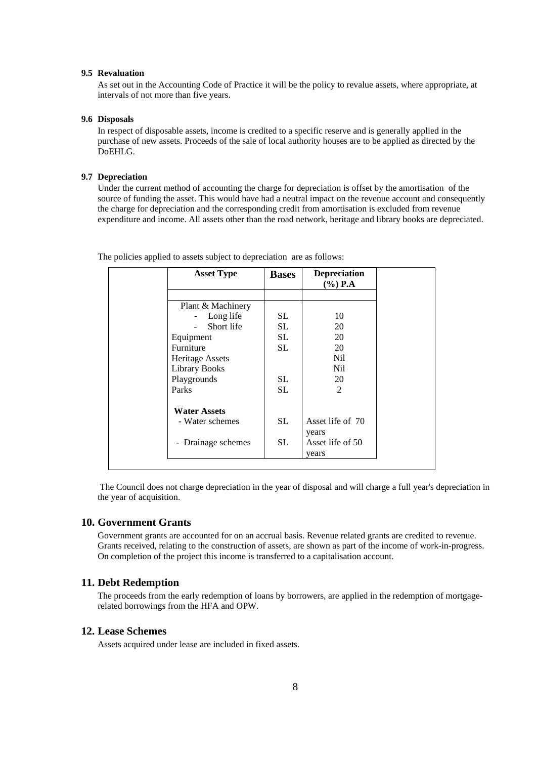#### **9.5 Revaluation**

As set out in the Accounting Code of Practice it will be the policy to revalue assets, where appropriate, at intervals of not more than five years.

#### **9.6 Disposals**

In respect of disposable assets, income is credited to a specific reserve and is generally applied in the purchase of new assets. Proceeds of the sale of local authority houses are to be applied as directed by the DoEHLG.

#### **9.7 Depreciation**

Under the current method of accounting the charge for depreciation is offset by the amortisation of the source of funding the asset. This would have had a neutral impact on the revenue account and consequently the charge for depreciation and the corresponding credit from amortisation is excluded from revenue expenditure and income. All assets other than the road network, heritage and library books are depreciated.

| <b>Asset Type</b>                                | <b>Bases</b> | <b>Depreciation</b><br>$(\%)$ P.A |
|--------------------------------------------------|--------------|-----------------------------------|
|                                                  |              |                                   |
| Plant & Machinery                                |              |                                   |
| Long life                                        | SL.          | 10                                |
| Short life                                       | SL.          | 20                                |
| Equipment                                        | SL.          | 20                                |
| Furniture                                        | SL           | 20                                |
| Heritage Assets                                  |              | Nil.                              |
| <b>Library Books</b>                             |              | Nil                               |
| Playgrounds                                      | SL.          | 20                                |
| Parks                                            | SL           | $\overline{2}$                    |
| <b>Water Assets</b>                              |              |                                   |
| - Water schemes                                  | SL           | Asset life of 70                  |
|                                                  |              | years                             |
| Drainage schemes<br>$\qquad \qquad \blacksquare$ | SL.          | Asset life of 50                  |
|                                                  |              | years                             |

The policies applied to assets subject to depreciation are as follows:

 The Council does not charge depreciation in the year of disposal and will charge a full year's depreciation in the year of acquisition.

#### **10. Government Grants**

Government grants are accounted for on an accrual basis. Revenue related grants are credited to revenue. Grants received, relating to the construction of assets, are shown as part of the income of work-in-progress. On completion of the project this income is transferred to a capitalisation account.

#### **11. Debt Redemption**

The proceeds from the early redemption of loans by borrowers, are applied in the redemption of mortgagerelated borrowings from the HFA and OPW.

#### **12. Lease Schemes**

Assets acquired under lease are included in fixed assets.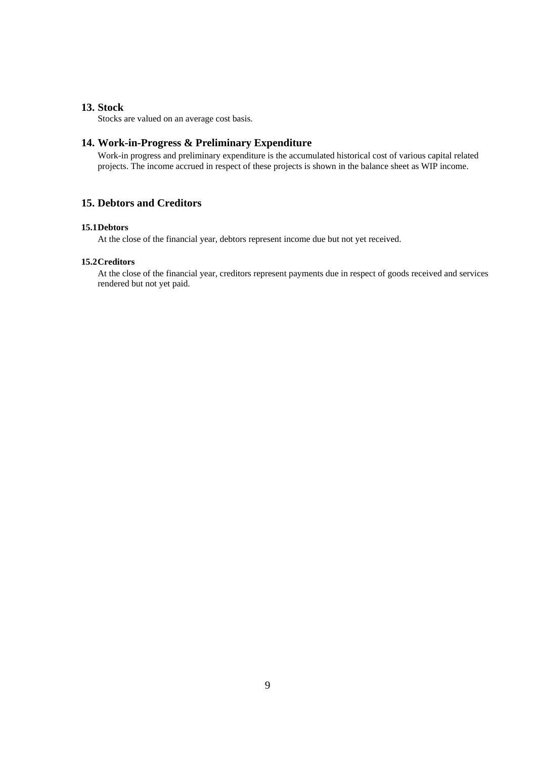### **13. Stock**

Stocks are valued on an average cost basis.

#### **14. Work-in-Progress & Preliminary Expenditure**

Work-in progress and preliminary expenditure is the accumulated historical cost of various capital related projects. The income accrued in respect of these projects is shown in the balance sheet as WIP income.

## **15. Debtors and Creditors**

#### **15.1Debtors**

At the close of the financial year, debtors represent income due but not yet received.

#### **15.2Creditors**

At the close of the financial year, creditors represent payments due in respect of goods received and services rendered but not yet paid.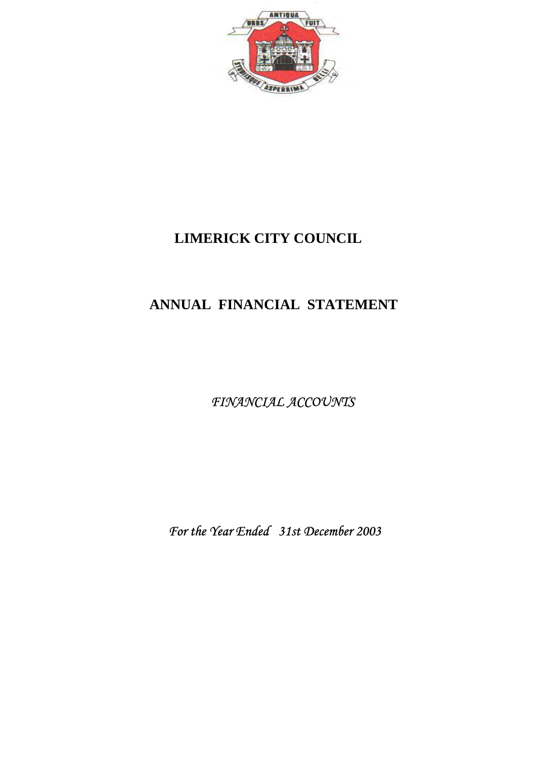

# **ANNUAL FINANCIAL STATEMENT**

*FINANCIAL ACCOUNTS* 

 *For the Year Ended 31st December 2003*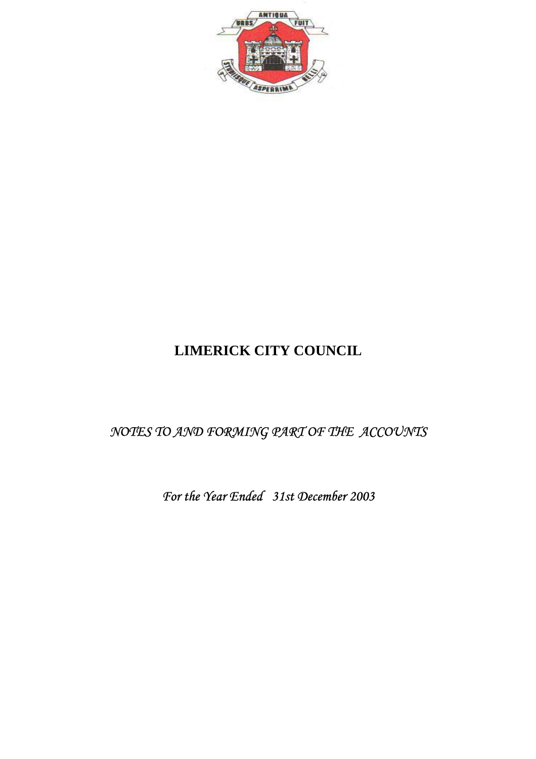

# *NOTES TO AND FORMING PART OF THE ACCOUNTS*

*For the Year Ended 31st December 2003*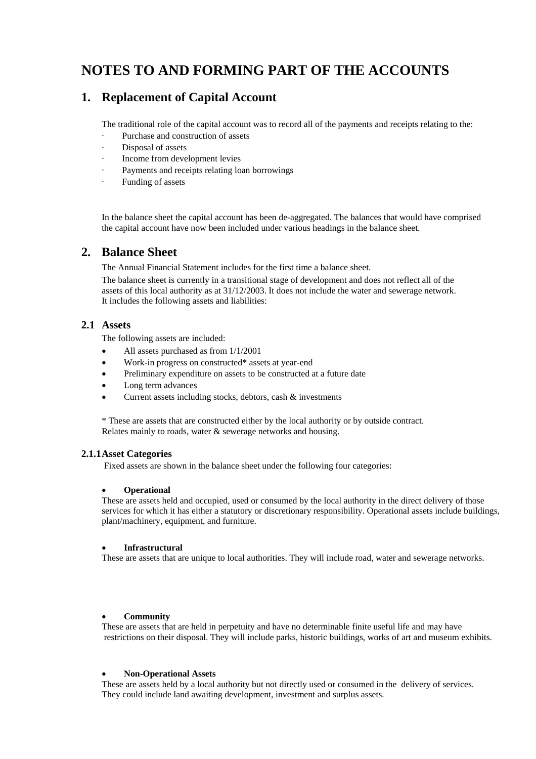# **NOTES TO AND FORMING PART OF THE ACCOUNTS**

## **1. Replacement of Capital Account**

The traditional role of the capital account was to record all of the payments and receipts relating to the:

- Purchase and construction of assets
- Disposal of assets
- Income from development levies
- Payments and receipts relating loan borrowings
- Funding of assets

In the balance sheet the capital account has been de-aggregated. The balances that would have comprised the capital account have now been included under various headings in the balance sheet.

## **2. Balance Sheet**

The Annual Financial Statement includes for the first time a balance sheet.

The balance sheet is currently in a transitional stage of development and does not reflect all of the assets of this local authority as at 31/12/2003. It does not include the water and sewerage network. It includes the following assets and liabilities:

## **2.1 Assets**

The following assets are included:

- All assets purchased as from 1/1/2001
- Work-in progress on constructed\* assets at year-end
- Preliminary expenditure on assets to be constructed at a future date
- Long term advances
- Current assets including stocks, debtors, cash & investments

\* These are assets that are constructed either by the local authority or by outside contract. Relates mainly to roads, water & sewerage networks and housing.

### **2.1.1Asset Categories**

Fixed assets are shown in the balance sheet under the following four categories:

### • **Operational**

These are assets held and occupied, used or consumed by the local authority in the direct delivery of those services for which it has either a statutory or discretionary responsibility. Operational assets include buildings, plant/machinery, equipment, and furniture.

### • **Infrastructural**

These are assets that are unique to local authorities. They will include road, water and sewerage networks.

#### • **Community**

These are assets that are held in perpetuity and have no determinable finite useful life and may have restrictions on their disposal. They will include parks, historic buildings, works of art and museum exhibits.

#### • **Non-Operational Assets**

These are assets held by a local authority but not directly used or consumed in the delivery of services. They could include land awaiting development, investment and surplus assets.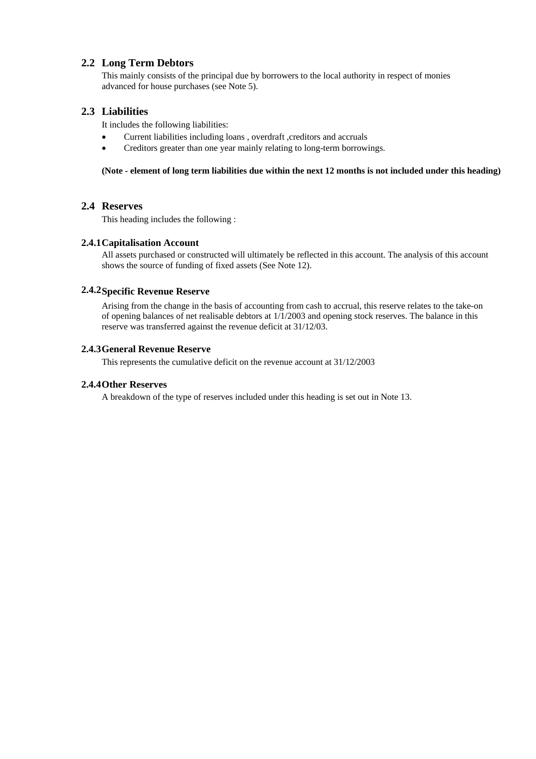## **2.2 Long Term Debtors**

This mainly consists of the principal due by borrowers to the local authority in respect of monies advanced for house purchases (see Note 5).

## **2.3 Liabilities**

It includes the following liabilities:

- Current liabilities including loans , overdraft ,creditors and accruals
- Creditors greater than one year mainly relating to long-term borrowings.

#### **(Note - element of long term liabilities due within the next 12 months is not included under this heading)**

### **2.4 Reserves**

This heading includes the following :

### **2.4.1Capitalisation Account**

All assets purchased or constructed will ultimately be reflected in this account. The analysis of this account shows the source of funding of fixed assets (See Note 12).

### **2.4.2Specific Revenue Reserve**

Arising from the change in the basis of accounting from cash to accrual, this reserve relates to the take-on of opening balances of net realisable debtors at  $1/1/2003$  and opening stock reserves. The balance in this reserve was transferred against the revenue deficit at 31/12/03.

### **2.4.3General Revenue Reserve**

This represents the cumulative deficit on the revenue account at 31/12/2003

#### **2.4.4Other Reserves**

A breakdown of the type of reserves included under this heading is set out in Note 13.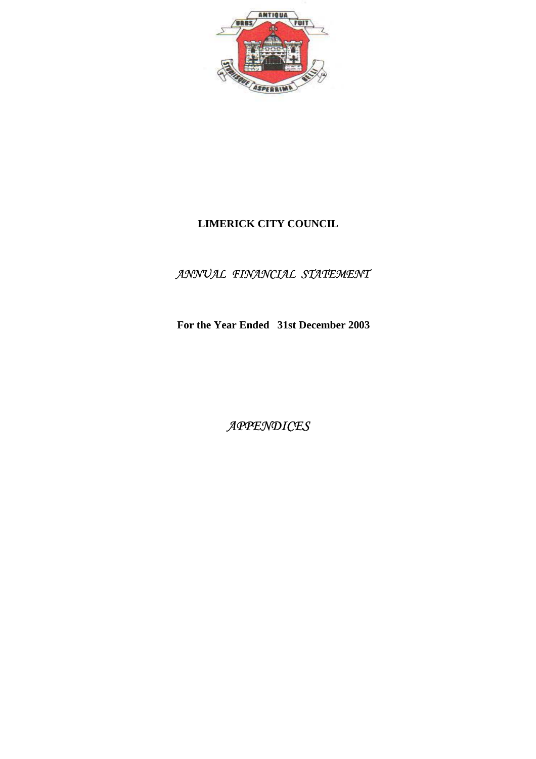

## *ANNUAL FINANCIAL STATEMENT*

 **For the Year Ended 31st December 2003** 

*APPENDICES*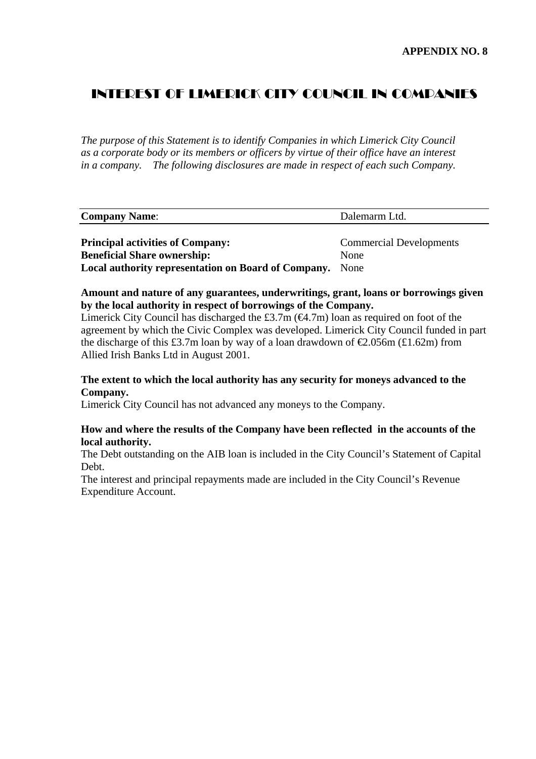## INTEREST OF LIMERICK CITY COUNCIL IN COMPANIES

*The purpose of this Statement is to identify Companies in which Limerick City Council as a corporate body or its members or officers by virtue of their office have an interest in a company. The following disclosures are made in respect of each such Company.* 

| Company<br>Name: | ٦d |
|------------------|----|
|                  |    |

**Principal activities of Company:** Commercial Developments **Beneficial Share ownership:** None **Local authority representation on Board of Company.** None

## **Amount and nature of any guarantees, underwritings, grant, loans or borrowings given by the local authority in respect of borrowings of the Company.**

Limerick City Council has discharged the £3.7m  $(\mathcal{A}1.7m)$  loan as required on foot of the agreement by which the Civic Complex was developed. Limerick City Council funded in part the discharge of this £3.7m loan by way of a loan drawdown of  $\epsilon$ 2.056m (£1.62m) from Allied Irish Banks Ltd in August 2001.

## **The extent to which the local authority has any security for moneys advanced to the Company.**

Limerick City Council has not advanced any moneys to the Company.

## **How and where the results of the Company have been reflected in the accounts of the local authority.**

The Debt outstanding on the AIB loan is included in the City Council's Statement of Capital Debt.

The interest and principal repayments made are included in the City Council's Revenue Expenditure Account.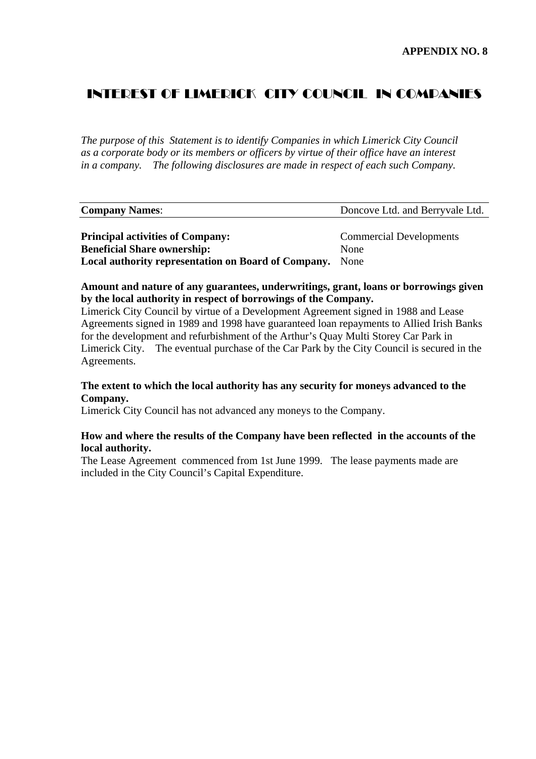## INTEREST OF LIMERICK CITY COUNCIL IN COMPANIES

*The purpose of this Statement is to identify Companies in which Limerick City Council as a corporate body or its members or officers by virtue of their office have an interest in a company. The following disclosures are made in respect of each such Company.* 

| <b>Company Names:</b>                               | Doncove Ltd. and Berryvale Ltd. |
|-----------------------------------------------------|---------------------------------|
|                                                     |                                 |
| <b>Principal activities of Company:</b>             | <b>Commercial Developments</b>  |
| <b>Beneficial Share ownership:</b>                  | None                            |
| Local authority representation on Board of Company. | None                            |

**Amount and nature of any guarantees, underwritings, grant, loans or borrowings given by the local authority in respect of borrowings of the Company.** 

Limerick City Council by virtue of a Development Agreement signed in 1988 and Lease Agreements signed in 1989 and 1998 have guaranteed loan repayments to Allied Irish Banks for the development and refurbishment of the Arthur's Quay Multi Storey Car Park in Limerick City. The eventual purchase of the Car Park by the City Council is secured in the Agreements.

## **The extent to which the local authority has any security for moneys advanced to the Company.**

Limerick City Council has not advanced any moneys to the Company.

## **How and where the results of the Company have been reflected in the accounts of the local authority.**

The Lease Agreement commenced from 1st June 1999. The lease payments made are included in the City Council's Capital Expenditure.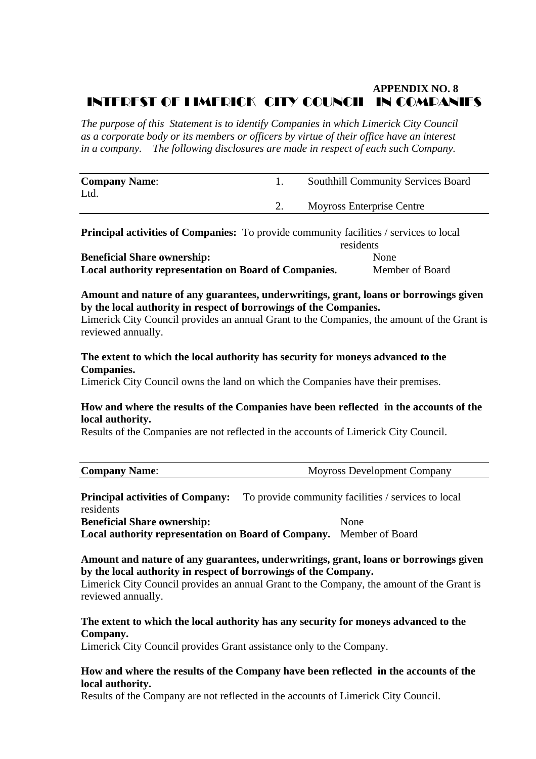## **APPENDIX NO. 8**  INTEREST OF LIMERICK CITY COUNCIL IN COMPANIES

*The purpose of this Statement is to identify Companies in which Limerick City Council as a corporate body or its members or officers by virtue of their office have an interest in a company. The following disclosures are made in respect of each such Company.* 

| <b>Company Name:</b><br>Ltd. | <b>Southhill Community Services Board</b> |
|------------------------------|-------------------------------------------|
|                              | Moyross Enterprise Centre                 |

| <b>Principal activities of Companies:</b> To provide community facilities / services to local |                 |
|-----------------------------------------------------------------------------------------------|-----------------|
|                                                                                               | residents       |
| <b>Beneficial Share ownership:</b>                                                            | None            |
| Local authority representation on Board of Companies.                                         | Member of Board |

**Amount and nature of any guarantees, underwritings, grant, loans or borrowings given by the local authority in respect of borrowings of the Companies.** 

Limerick City Council provides an annual Grant to the Companies, the amount of the Grant is reviewed annually.

## **The extent to which the local authority has security for moneys advanced to the Companies.**

Limerick City Council owns the land on which the Companies have their premises.

## **How and where the results of the Companies have been reflected in the accounts of the local authority.**

Results of the Companies are not reflected in the accounts of Limerick City Council.

## **Principal activities of Company:** To provide community facilities / services to local residents

**Beneficial Share ownership:** None

**Local authority representation on Board of Company.** Member of Board

## **Amount and nature of any guarantees, underwritings, grant, loans or borrowings given by the local authority in respect of borrowings of the Company.**

Limerick City Council provides an annual Grant to the Company, the amount of the Grant is reviewed annually.

## **The extent to which the local authority has any security for moneys advanced to the Company.**

Limerick City Council provides Grant assistance only to the Company.

## **How and where the results of the Company have been reflected in the accounts of the local authority.**

Results of the Company are not reflected in the accounts of Limerick City Council.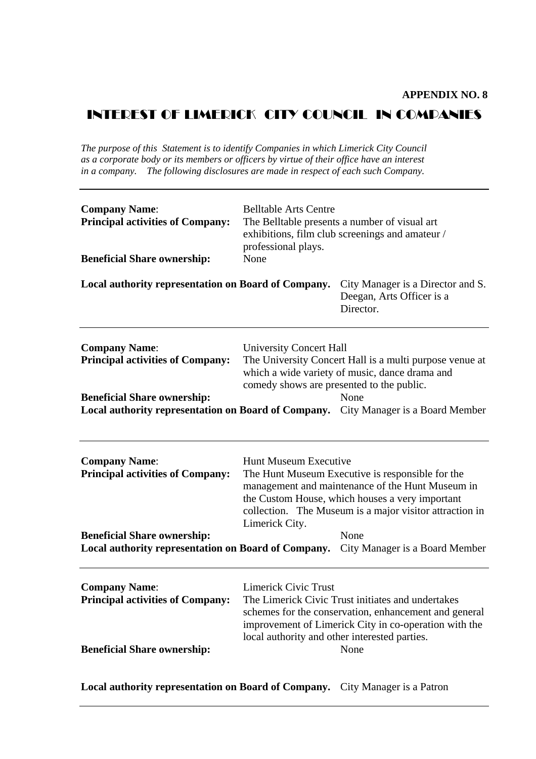## INTEREST OF LIMERICK CITY COUNCIL IN COMPANIES

*The purpose of this Statement is to identify Companies in which Limerick City Council as a corporate body or its members or officers by virtue of their office have an interest in a company. The following disclosures are made in respect of each such Company.* 

| <b>Company Name:</b><br><b>Principal activities of Company:</b><br><b>Beneficial Share ownership:</b>                                                                                       | <b>Belltable Arts Centre</b><br>The Belltable presents a number of visual art<br>exhibitions, film club screenings and amateur /<br>professional plays.<br>None                                                                                                                                                |                                                                                                                                                                             |
|---------------------------------------------------------------------------------------------------------------------------------------------------------------------------------------------|----------------------------------------------------------------------------------------------------------------------------------------------------------------------------------------------------------------------------------------------------------------------------------------------------------------|-----------------------------------------------------------------------------------------------------------------------------------------------------------------------------|
| Local authority representation on Board of Company.                                                                                                                                         |                                                                                                                                                                                                                                                                                                                | City Manager is a Director and S.<br>Deegan, Arts Officer is a<br>Director.                                                                                                 |
| <b>Company Name:</b><br><b>Principal activities of Company:</b><br><b>Beneficial Share ownership:</b><br>Local authority representation on Board of Company. City Manager is a Board Member | <b>University Concert Hall</b><br>comedy shows are presented to the public.                                                                                                                                                                                                                                    | The University Concert Hall is a multi purpose venue at<br>which a wide variety of music, dance drama and<br>None                                                           |
| <b>Company Name:</b><br><b>Principal activities of Company:</b><br><b>Beneficial Share ownership:</b><br>Local authority representation on Board of Company.                                | <b>Hunt Museum Executive</b><br>The Hunt Museum Executive is responsible for the<br>management and maintenance of the Hunt Museum in<br>the Custom House, which houses a very important<br>collection. The Museum is a major visitor attraction in<br>Limerick City.<br>None<br>City Manager is a Board Member |                                                                                                                                                                             |
| <b>Company Name:</b><br><b>Principal activities of Company:</b><br><b>Beneficial Share ownership:</b>                                                                                       | <b>Limerick Civic Trust</b><br>local authority and other interested parties.                                                                                                                                                                                                                                   | The Limerick Civic Trust initiates and undertakes<br>schemes for the conservation, enhancement and general<br>improvement of Limerick City in co-operation with the<br>None |

**Local authority representation on Board of Company.** City Manager is a Patron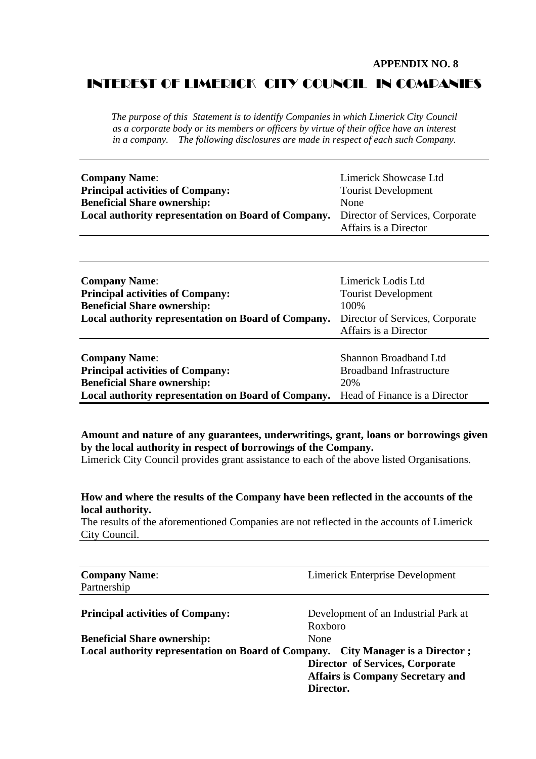#### **APPENDIX NO. 8**

## INTEREST OF LIMERICK CITY COUNCIL IN COMPANIES

*The purpose of this Statement is to identify Companies in which Limerick City Council as a corporate body or its members or officers by virtue of their office have an interest in a company. The following disclosures are made in respect of each such Company.* 

| <b>Company Name:</b>                                                                | Limerick Showcase Ltd      |
|-------------------------------------------------------------------------------------|----------------------------|
| <b>Principal activities of Company:</b>                                             | <b>Tourist Development</b> |
| <b>Beneficial Share ownership:</b>                                                  | None                       |
| Local authority representation on Board of Company. Director of Services, Corporate |                            |
|                                                                                     | Affairs is a Director      |

| <b>Company Name:</b><br><b>Principal activities of Company:</b><br><b>Beneficial Share ownership:</b><br>Local authority representation on Board of Company. | Limerick Lodis Ltd<br><b>Tourist Development</b><br>100%<br>Director of Services, Corporate<br>Affairs is a Director |
|--------------------------------------------------------------------------------------------------------------------------------------------------------------|----------------------------------------------------------------------------------------------------------------------|
| <b>Company Name:</b>                                                                                                                                         | Shannon Broadband Ltd                                                                                                |
| <b>Principal activities of Company:</b>                                                                                                                      | <b>Broadband Infrastructure</b>                                                                                      |
| <b>Beneficial Share ownership:</b>                                                                                                                           | 20%                                                                                                                  |
| Local authority representation on Board of Company.                                                                                                          | Head of Finance is a Director                                                                                        |

## **Amount and nature of any guarantees, underwritings, grant, loans or borrowings given by the local authority in respect of borrowings of the Company.**

Limerick City Council provides grant assistance to each of the above listed Organisations.

### **How and where the results of the Company have been reflected in the accounts of the local authority.**

The results of the aforementioned Companies are not reflected in the accounts of Limerick City Council.

| <b>Company Name:</b>                                                            | <b>Limerick Enterprise Development</b>  |  |
|---------------------------------------------------------------------------------|-----------------------------------------|--|
| Partnership                                                                     |                                         |  |
| <b>Principal activities of Company:</b>                                         | Development of an Industrial Park at    |  |
|                                                                                 | Roxboro                                 |  |
| <b>Beneficial Share ownership:</b>                                              | None                                    |  |
| Local authority representation on Board of Company. City Manager is a Director; |                                         |  |
|                                                                                 | Director of Services, Corporate         |  |
|                                                                                 | <b>Affairs is Company Secretary and</b> |  |
|                                                                                 | Director.                               |  |